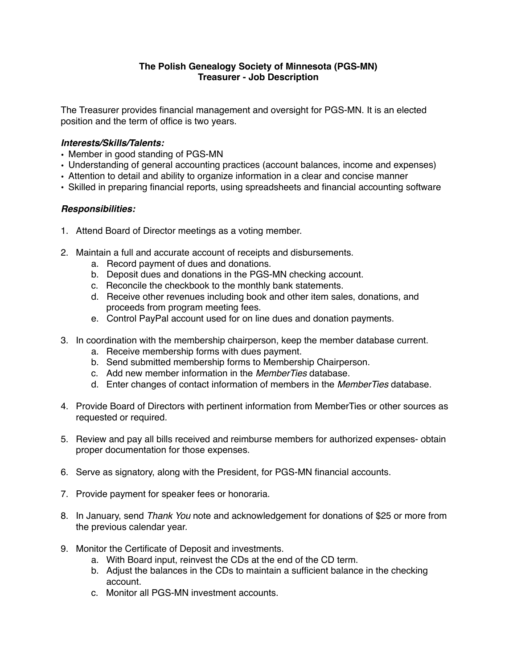## **The Polish Genealogy Society of Minnesota (PGS-MN) Treasurer - Job Description**

The Treasurer provides financial management and oversight for PGS-MN. It is an elected position and the term of office is two years.

## *Interests/Skills/Talents:*

- Member in good standing of PGS-MN
- Understanding of general accounting practices (account balances, income and expenses)
- Attention to detail and ability to organize information in a clear and concise manner
- Skilled in preparing financial reports, using spreadsheets and financial accounting software

## *Responsibilities:*

- 1. Attend Board of Director meetings as a voting member.
- 2. Maintain a full and accurate account of receipts and disbursements.
	- a. Record payment of dues and donations.
	- b. Deposit dues and donations in the PGS-MN checking account.
	- c. Reconcile the checkbook to the monthly bank statements.
	- d. Receive other revenues including book and other item sales, donations, and proceeds from program meeting fees.
	- e. Control PayPal account used for on line dues and donation payments.
- 3. In coordination with the membership chairperson, keep the member database current.
	- a. Receive membership forms with dues payment.
	- b. Send submitted membership forms to Membership Chairperson.
	- c. Add new member information in the *MemberTies* database.
	- d. Enter changes of contact information of members in the *MemberTies* database.
- 4. Provide Board of Directors with pertinent information from MemberTies or other sources as requested or required.
- 5. Review and pay all bills received and reimburse members for authorized expenses- obtain proper documentation for those expenses.
- 6. Serve as signatory, along with the President, for PGS-MN financial accounts.
- 7. Provide payment for speaker fees or honoraria.
- 8. In January, send *Thank You* note and acknowledgement for donations of \$25 or more from the previous calendar year.
- 9. Monitor the Certificate of Deposit and investments.
	- a. With Board input, reinvest the CDs at the end of the CD term.
	- b. Adjust the balances in the CDs to maintain a sufficient balance in the checking account.
	- c. Monitor all PGS-MN investment accounts.